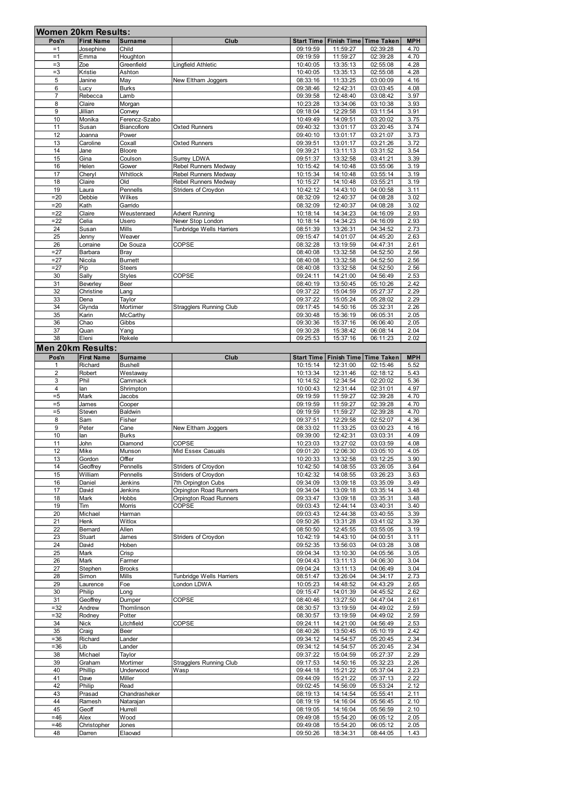| <b>Women 20km Results:</b> |                     |                      |                                                |                      |                                       |                      |              |  |  |  |
|----------------------------|---------------------|----------------------|------------------------------------------------|----------------------|---------------------------------------|----------------------|--------------|--|--|--|
| Pos'n                      | <b>First Name</b>   | <b>Surname</b>       | Club                                           |                      | Start Time   Finish Time   Time Taken |                      | <b>MPH</b>   |  |  |  |
| $=1$                       | Josephine           | Child                |                                                | 09:19:59             | 11:59:27                              | 02:39:28             | 4.70         |  |  |  |
| $=1$                       | Emma                | Houghton             |                                                | 09:19:59             | 11:59:27                              | 02:39:28             | 4.70         |  |  |  |
| $=3$                       | Zoe                 | Greenfield           | Lingfield Athletic                             | 10:40:05             | 13:35:13                              | 02:55:08             | 4.28         |  |  |  |
| $=3$                       | Kristie             | Ashton               |                                                | 10:40:05             | 13:35:13                              | 02:55:08             | 4.28         |  |  |  |
| 5                          | Janine              | May                  | New Eltham Joggers                             | 08:33:16             | 11:33:25                              | 03:00:09             | 4.16         |  |  |  |
| 6                          | Lucy                | <b>Burks</b>         |                                                | 09:38:46             | 12:42:31                              | 03:03:45             | 4.08         |  |  |  |
| 7<br>8                     | Rebecca<br>Claire   | Lamb                 |                                                | 09:39:58<br>10:23:28 | 12:48:40<br>13:34:06                  | 03:08:42<br>03:10:38 | 3.97<br>3.93 |  |  |  |
| 9                          | Jillian             | Morgan<br>Convey     |                                                | 09:18:04             | 12:29:58                              | 03:11:54             | 3.91         |  |  |  |
| 10                         | Monika              | Ferencz-Szabo        |                                                | 10:49:49             | 14:09:51                              | 03:20:02             | 3.75         |  |  |  |
| 11                         | Susan               | Biancofiore          | <b>Oxted Runners</b>                           | 09:40:32             | 13:01:17                              | 03:20:45             | 3.74         |  |  |  |
| 12                         | Joanna              | Power                |                                                | 09:40:10             | 13:01:17                              | 03:21:07             | 3.73         |  |  |  |
| 13                         | Caroline            | Coxall               | <b>Oxted Runners</b>                           | 09:39:51             | 13:01:17                              | 03:21:26             | 3.72         |  |  |  |
| 14                         | Jane                | <b>Bloore</b>        |                                                | 09:39:21             | 13:11:13                              | 03:31:52             | 3.54         |  |  |  |
| 15                         | Gina                | Coulson              | <b>Surrey LDWA</b>                             | 09:51:37             | 13:32:58                              | 03:41:21             | 3.39         |  |  |  |
| 16                         | Helen               | Gower                | Rebel Runners Medway                           | 10:15:42             | 14:10:48                              | 03:55:06             | 3.19         |  |  |  |
| 17                         | Cheryl              | Whitlock             | Rebel Runners Medway                           | 10:15:34             | 14:10:48                              | 03:55:14             | 3.19         |  |  |  |
| 18                         | Claire              | <b>DIO</b>           | Rebel Runners Medway                           | 10:15:27             | 14:10:48                              | 03:55:21             | 3.19         |  |  |  |
| 19                         | Laura               | Pennells             | Striders of Croydon                            | 10:42:12             | 14:43:10                              | 04:00:58             | 3.11         |  |  |  |
| $= 20$                     | Debbie              | Wilkes               |                                                | 08:32:09             | 12:40:37                              | 04:08:28             | 3.02         |  |  |  |
| $= 20$                     | Kath                | Garrido              |                                                | 08:32:09             | 12:40:37                              | 04:08:28             | 3.02         |  |  |  |
| $= 22$                     | Claire              | Weustenraed          | <b>Advent Running</b>                          | 10:18:14             | 14:34:23                              | 04:16:09             | 2.93         |  |  |  |
| $= 22$                     | Celia               | Usero<br>Mills       | Never Stop London                              | 10:18:14             | 14:34:23                              | 04:16:09             | 2.93<br>2.73 |  |  |  |
| 24<br>25                   | Susan<br>Jenny      | Weaver               | <b>Tunbridge Wells Harriers</b>                | 08:51:39<br>09:15:47 | 13:26:31<br>14:01:07                  | 04:34:52<br>04:45:20 | 2.63         |  |  |  |
| 26                         | Lorraine            | De Souza             | COPSE                                          | 08:32:28             | 13:19:59                              | 04:47:31             | 2.61         |  |  |  |
| $= 27$                     | Barbara             | Bray                 |                                                | 08:40:08             | 13:32:58                              | 04:52:50             | 2.56         |  |  |  |
| $= 27$                     | Nicola              | <b>Burnett</b>       |                                                | 08:40:08             | 13:32:58                              | 04:52:50             | 2.56         |  |  |  |
| $= 27$                     | Pip                 | <b>Steers</b>        |                                                | 08:40:08             | 13:32:58                              | 04:52:50             | 2.56         |  |  |  |
| 30                         | Sally               | <b>Styles</b>        | COPSE                                          | 09:24:11             | 14:21:00                              | 04:56:49             | 2.53         |  |  |  |
| 31                         | Beverley            | Beer                 |                                                | 08:40:19             | 13:50:45                              | 05:10:26             | 2.42         |  |  |  |
| 32                         | Christine           | Lang                 |                                                | 09:37:22             | 15:04:59                              | 05:27:37             | 2.29         |  |  |  |
| 33                         | Dena                | Taylor               |                                                | 09:37:22             | 15:05:24                              | 05:28:02             | 2.29         |  |  |  |
| 34                         | Glynda              | Mortimer             | <b>Stragglers Running Club</b>                 | 09:17:45             | 14:50:16                              | 05:32:31             | 2.26         |  |  |  |
| 35                         | Karin               | McCarthy             |                                                | 09:30:48             | 15:36:19                              | 06:05:31             | 2.05         |  |  |  |
| 36                         | Chao                | Gibbs                |                                                | 09:30:36             | 15:37:16                              | 06:06:40             | 2.05         |  |  |  |
| 37                         | Quan                | Yang                 |                                                | 09:30:28             | 15:38:42                              | 06:08:14             | 2.04         |  |  |  |
| 38                         | Eleni               | Rekele               |                                                | 09:25:53             | 15:37:16                              | 06:11:23             | 2.02         |  |  |  |
| <b>Men 20km Results:</b>   |                     |                      |                                                |                      |                                       |                      |              |  |  |  |
| Pos'n                      | <b>First Name</b>   | <b>Surname</b>       | Club                                           | <b>Start Time</b>    | Finish Time Time Taken                |                      | <b>MPH</b>   |  |  |  |
| 1                          | Richard             | <b>Bushell</b>       |                                                | 10:15:14             | 12:31:00                              | 02:15:46             | 5.52         |  |  |  |
| $\overline{2}$             | Robert              | Westaway             |                                                | 10:13:34             | 12:31:46                              | 02:18:12             | 5.43         |  |  |  |
| 3                          | Phil                | Cammack              |                                                | 10:14:52             | 12:34:54                              | 02:20:02             | 5.36         |  |  |  |
| 4                          | lan                 | Shrimpton            |                                                | 10:00:43             | 12:31:44                              | 02:31:01             | 4.97         |  |  |  |
|                            |                     |                      |                                                |                      |                                       |                      |              |  |  |  |
| $= 5$                      | Mark                | Jacobs               |                                                | 09:19:59             | 11:59:27                              | 02:39:28             | 4.70         |  |  |  |
| $= 5$                      | James               | Cooper               |                                                | 09:19:59             | 11:59:27                              | 02:39:28             | 4.70         |  |  |  |
| $= 5$                      | Steven              | Baldwin              |                                                | 09:19:59             | 11:59:27                              | 02:39:28             | 4.70         |  |  |  |
| 8                          | Sam                 | Fisher               |                                                | 09:37:51             | 12:29:58                              | 02:52:07             | 4.36         |  |  |  |
| 9                          | Peter               | Cane                 | New Eltham Joggers                             | 08:33:02             | 11:33:25                              | 03:00:23             | 4.16         |  |  |  |
| 10                         | lan                 | <b>Burks</b>         |                                                | 09:39:00             | 12:42:31                              | 03:03:31             | 4.09         |  |  |  |
| 11                         | John                | Diamond              | <b>COPSE</b>                                   | 10:23:03             | 13:27:02                              | 03:03:59             | 4.08         |  |  |  |
| 12                         | Mike                | Munson               | Mid Essex Casuals                              | 09:01:20             | 12:06:30                              | 03:05:10             | 4.05         |  |  |  |
| 13                         | Gordon              | Offler               |                                                | 10:20:33             | 13:32:58                              | 03:12:25             | 3.90         |  |  |  |
| 14<br>15                   | Geoffrey<br>William | Pennells<br>Pennells | Striders of Croydon<br>Striders of Croydon     | 10:42:50<br>10:42:32 | 14:08:55<br>14:08:55                  | 03:26:05<br>03:26:23 | 3.64<br>3.63 |  |  |  |
| 16                         | Daniel              | Jenkins              | 7th Orpington Cubs                             | 09:34:09             | 13:09:18                              | 03:35:09             | 3.49         |  |  |  |
| 17                         | David               | Jenkins              | Orpington Road Runners                         | 09:34:04             | 13:09:18                              | 03:35:14             | 3.48         |  |  |  |
| 18                         | Mark                | Hobbs                | Orpington Road Runners                         | 09:33:47             | 13:09:18                              | 03:35:31             | 3.48         |  |  |  |
| 19                         | Tim                 | Morris               | COPSE                                          | 09:03:43             | 12:44:14                              | 03:40:31             | 3.40         |  |  |  |
| 20                         | Michael             | Harman               |                                                | 09:03:43             | 12:44:38                              | 03:40:55             | 3.39         |  |  |  |
| 21                         | Henk                | Witlox               |                                                | 09:50:26             | 13:31:28                              | 03:41:02             | 3.39         |  |  |  |
| 22                         | Bernard             | Allen                |                                                | 08:50:50             | 12:45:55                              | 03:55:05             | 3.19         |  |  |  |
| 23                         | Stuart              | James                | <b>Striders of Croydon</b>                     | 10:42:19             | 14:43:10                              | 04:00:51             | 3.11         |  |  |  |
| 24                         | David               | Hoben                |                                                | 09:52:35             | 13:56:03                              | 04:03:28             | 3.08         |  |  |  |
| 25                         | Mark                | Crisp                |                                                | 09:04:34             | 13:10:30                              | 04:05:56             | 3.05         |  |  |  |
| 26                         | Mark                | Farmer               |                                                | 09:04:43             | 13:11:13                              | 04:06:30             | 3.04         |  |  |  |
| 27                         | Stephen             | <b>Brooks</b>        |                                                | 09:04:24             | 13:11:13                              | 04:06:49             | 3.04         |  |  |  |
| 28<br>29                   | Simon<br>Laurence   | Mills<br>Foe         | <b>Tunbridge Wells Harriers</b><br>London LDWA | 08:51:47<br>10:05:23 | 13:26:04<br>14:48:52                  | 04:34:17<br>04:43:29 | 2.73<br>2.65 |  |  |  |
|                            |                     |                      |                                                |                      |                                       |                      |              |  |  |  |
| 30<br>31                   | Philip<br>Geoffrey  | Long<br>Dumper       | COPSE                                          | 09:15:47<br>08:40:46 | 14:01:39<br>13:27:50                  | 04:45:52<br>04:47:04 | 2.62<br>2.61 |  |  |  |
| $=32$                      | Andrew              | Thomlinson           |                                                | 08:30:57             | 13:19:59                              | 04:49:02             | 2.59         |  |  |  |
| $= 32$                     | Rodney              | Potter               |                                                | 08:30:57             | 13:19:59                              | 04:49:02             | 2.59         |  |  |  |
| 34                         | Nick                | Litchfield           | COPSE                                          | 09:24:11             | 14:21:00                              | 04:56:49             | 2.53         |  |  |  |
| 35                         | Craig               | Beer                 |                                                | 08:40:26             | 13:50:45                              | 05:10:19             | 2.42         |  |  |  |
| $= 36$                     | Richard             | Lander               |                                                | 09:34:12             | 14:54:57                              | 05:20:45             | 2.34         |  |  |  |
| $= 36$                     | Lib                 | Lander               |                                                | 09:34:12             | 14:54:57                              | 05:20:45             | 2.34         |  |  |  |
| 38                         | Michael             | Taylor               |                                                | 09:37:22             | 15:04:59                              | 05:27:37             | 2.29         |  |  |  |
| 39                         | Graham              | Mortimer             | <b>Stragglers Running Club</b>                 | 09:17:53             | 14:50:16                              | 05:32:23             | 2.26         |  |  |  |
| 40                         | Phillip             | Underwood            | Wasp                                           | 09:44:18             | 15:21:22                              | 05:37:04             | 2.23         |  |  |  |
| 41                         | Dave                | Miller               |                                                | 09:44:09             | 15:21:22                              | 05:37:13             | 2.22         |  |  |  |
| 42                         | Philip              | Read                 |                                                | 09:02:45             | 14:56:09                              | 05:53:24             | 2.12         |  |  |  |
| 43                         | Prasad              | Chandrasheker        |                                                | 08:19:13             | 14:14:54                              | 05:55:41             | 2.11         |  |  |  |
| 44                         | Ramesh              | Natarajan            |                                                | 08:19:19             | 14:16:04                              | 05:56:45             | 2.10         |  |  |  |
| 45<br>$=46$                | Geoff<br>Alex       | Hurrell              |                                                | 08:19:05             | 14:16:04                              | 05:56:59             | 2.10         |  |  |  |
| $=46$                      | Christopher         | Wood<br>Jones        |                                                | 09:49:08<br>09:49:08 | 15:54:20<br>15:54:20                  | 06:05:12<br>06:05:12 | 2.05<br>2.05 |  |  |  |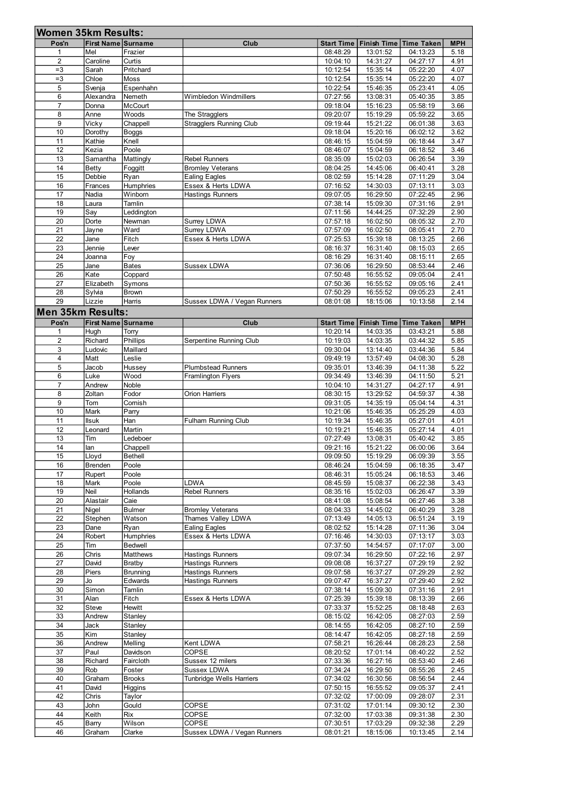|                         | <b>First Name Surname</b>               | <b>Women 35km Results:</b> | Club                                            | <b>Start Time</b>    |                      | Finish Time   Time Taken              | <b>MPH</b>   |
|-------------------------|-----------------------------------------|----------------------------|-------------------------------------------------|----------------------|----------------------|---------------------------------------|--------------|
| Pos'n<br>$\overline{1}$ | Mel                                     | Frazier                    |                                                 | 08:48:29             | 13:01:52             | 04:13:23                              | 5.18         |
| 2<br>$=3$               | Caroline<br>Sarah                       | Curtis<br>Pritchard        |                                                 | 10:04:10<br>10:12:54 | 14:31:27<br>15:35:14 | 04:27:17<br>05:22:20                  | 4.91<br>4.07 |
| $=3$<br>5               | Chloe<br>Svenja                         | Moss<br>Espenhahn          |                                                 | 10:12:54<br>10:22:54 | 15:35:14<br>15:46:35 | 05:22:20<br>05:23:41                  | 4.07<br>4.05 |
| 6                       | Alexandra                               | Nemeth                     | Wimbledon Windmillers                           | 07:27:56             | 13:08:31             | 05:40:35                              | 3.85         |
| $\overline{7}$<br>8     | Donna<br>Anne                           | <b>McCourt</b><br>Woods    | The Stragglers                                  | 09:18:04<br>09:20:07 | 15:16:23<br>15:19:29 | 05:58:19<br>05:59:22                  | 3.66<br>3.65 |
| 9                       | Vicky                                   | Chappell                   | Stragglers Running Club                         | 09:19:44             | 15:21:22             | 06:01:38                              | 3.63         |
| 10<br>11                | Dorothy<br>Kathie                       | <b>Boggs</b><br>Knell      |                                                 | 09:18:04<br>08:46:15 | 15:20:16<br>15:04:59 | 06:02:12<br>06:18:44                  | 3.62<br>3.47 |
| 12                      | Kezia                                   | Poole                      |                                                 | 08:46:07             | 15:04:59             | 06:18:52                              | 3.46         |
| 13<br>14                | Samantha<br>Betty                       | Mattingly<br>Foggitt       | <b>Rebel Runners</b><br><b>Bromley Veterans</b> | 08:35:09<br>08:04:25 | 15:02:03<br>14:45:06 | 06:26:54<br>06:40:41                  | 3.39<br>3.28 |
| 15                      | Debbie                                  | Ryan                       | Ealing Eagles                                   | 08:02:59             | 15:14:28             | 07:11:29                              | 3.04         |
| 16<br>17                | Frances<br>Nadia                        | Humphries<br>Winborn       | Essex & Herts LDWA<br>Hastings Runners          | 07:16:52<br>09:07:05 | 14:30:03<br>16:29:50 | 07:13:11<br>07:22:45                  | 3.03<br>2.96 |
| 18                      | Laura                                   | Tamlin                     |                                                 | 07:38:14             | 15:09:30             | 07:31:16                              | 2.91         |
| 19<br>20                | Say<br>Dorte                            | Leddington<br>Newman       | Surrey LDWA                                     | 07:11:56<br>07:57:18 | 14:44:25<br>16:02:50 | 07:32:29<br>08:05:32                  | 2.90<br>2.70 |
| 21<br>22                | Jayne<br>Jane                           | Ward<br>Fitch              | Surrey LDWA<br>Essex & Herts LDWA               | 07:57:09<br>07:25:53 | 16:02:50<br>15:39:18 | 08:05:41<br>08:13:25                  | 2.70<br>2.66 |
| 23                      | Jennie                                  | Lever                      |                                                 | 08:16:37             | 16:31:40             | 08:15:03                              | 2.65         |
| 24<br>25                | Joanna<br>Jane                          | Foy<br><b>Bates</b>        | Sussex LDWA                                     | 08:16:29<br>07:36:06 | 16:31:40<br>16:29:50 | 08:15:11<br>08:53:44                  | 2.65<br>2.46 |
| 26                      | Kate                                    | Coppard                    |                                                 | 07:50:48             | 16:55:52             | 09:05:04                              | 2.41         |
| 27<br>28                | Elizabeth<br>Sylvia                     | Symons<br><b>Brown</b>     |                                                 | 07:50:36<br>07:50:29 | 16:55:52<br>16:55:52 | 09:05:16<br>09:05:23                  | 2.41<br>2.41 |
| 29                      | Lizzie                                  | Harris                     | Sussex LDWA / Vegan Runners                     | 08:01:08             | 18:15:06             | 10:13:58                              | 2.14         |
|                         | Men 35km Results:<br>First Name Surname |                            | Club                                            |                      |                      | Start Time   Finish Time   Time Taken | <b>MPH</b>   |
| Pos'n<br>-1             | Hugh                                    | Torry                      |                                                 | 10:20:14             | 14:03:35             | 03:43:21                              | 5.88         |
| $\overline{2}$<br>3     | Richard<br>Ludovic                      | Phillips<br>Maillard       | Serpentine Running Club                         | 10:19:03<br>09:30:04 | 14:03:35<br>13:14:40 | 03:44:32<br>03:44:36                  | 5.85<br>5.84 |
|                         | Matt                                    | Leslie                     |                                                 | 09:49:19             | 13:57:49             | 04:08:30                              | 5.28         |
| $\overline{4}$          |                                         | Hussey                     | Plumbstead Runners<br>Framlington Flyers        | 09:35:01<br>09:34:49 | 13:46:39<br>13:46:39 | 04:11:38<br>04:11:50                  | 5.22<br>5.21 |
| $\sqrt{5}$              | Jacob                                   |                            |                                                 |                      |                      | 04:27:17                              | 4.91         |
| 6<br>$\overline{7}$     | Luke<br>Andrew                          | Wood<br>Noble              |                                                 | 10:04:10             | 14:31:27             |                                       |              |
| 8<br>9                  | Zoltan<br>Tom                           | Fodor<br>Cornish           | Orion Harriers                                  | 08:30:15<br>09:31:05 | 13:29:52<br>14:35:19 | 04:59:37<br>05:04:14                  | 4.38<br>4.31 |
| 10                      | Mark                                    | Parry                      |                                                 | 10:21:06             | 15:46:35             | 05:25:29                              | 4.03         |
| 11<br>12                | <b>Ilsuk</b><br>Leonard                 | Han<br>Martin              | Fulham Running Club                             | 10:19:34<br>10:19:21 | 15:46:35<br>15:46:35 | 05:27:01<br>05:27:14                  | 4.01<br>4.01 |
| 13                      | Tim                                     | Ledeboer                   |                                                 | 07:27:49             | 13:08:31             | 05:40:42                              | 3.85         |
| 14<br>15                | lan<br>Lloyd                            | Chappell<br>Bethell        |                                                 | 09:21:16<br>09:09:50 | 15:21:22<br>15:19:29 | 06:00:06<br>06:09:39                  | 3.64<br>3.55 |
| 16                      | Brenden                                 | Poole                      |                                                 | 08:46:24             | 15:04:59             | 06:18:35                              | 3.47         |
| 17<br>18                | Rupert<br>Mark                          | Poole<br>Poole             | LDWA                                            | 08:46:31<br>08:45:59 | 15:05:24<br>15:08:37 | 06:18:53<br>06:22:38                  | 3.46<br>3.43 |
| 19                      | Neil                                    | Hollands                   | Rebel Runners                                   | 08:35:16             | 15:02:03             | 06:26:47                              | 3.39         |
| 20<br>21                | Alastair<br>Nigel                       | Caie<br>Bulmer             | <b>Bromley Veterans</b>                         | 08:41:08<br>08:04:33 | 15:08:54<br>14:45:02 | 06:27:46<br>06:40:29                  | 3.38<br>3.28 |
| 22                      | Stephen                                 | Watson                     | Thames Valley LDWA                              | 07:13:49             | 14:05:13             | 06:51:24                              | 3.19         |
| 23<br>24                | Dane<br>Robert                          | Ryan<br>Humphries          | Ealing Eagles<br>Essex & Herts LDWA             | 08:02:52<br>07:16:46 | 15:14:28<br>14:30:03 | 07:11:36<br>07:13:17                  | 3.04<br>3.03 |
| 25<br>26                | Tim<br>Chris                            | Bedwell<br>Matthews        | Hastings Runners                                | 07:37:50<br>09:07:34 | 14:54:57<br>16:29:50 | 07:17:07<br>07:22:16                  | 3.00<br>2.97 |
| 27                      | David                                   | <b>Bratby</b>              | Hastings Runners                                | 09:08:08             | 16:37:27             | 07:29:19                              | 2.92         |
| 28<br>29                | Piers<br>Jo                             | Brunning<br>Edwards        | Hastings Runners<br>Hastings Runners            | 09:07:58<br>09:07:47 | 16:37:27<br>16:37:27 | 07:29:29<br>07:29:40                  | 2.92<br>2.92 |
| 30                      | Simon                                   | Tamlin                     |                                                 | 07:38:14             | 15:09:30             | 07:31:16                              | 2.91         |
| 31<br>32                | Alan<br>Steve                           | Fitch<br>Hewitt            | Essex & Herts LDWA                              | 07:25:39<br>07:33:37 | 15:39:18<br>15:52:25 | 08:13:39<br>08:18:48                  | 2.66<br>2.63 |
| 33                      | Andrew                                  | Stanley                    |                                                 | 08:15:02             | 16:42:05             | 08:27:03                              | 2.59         |
| 34<br>35                | Jack<br>Kim                             | Stanley<br>Stanley         |                                                 | 08:14:55<br>08:14:47 | 16:42:05<br>16:42:05 | 08:27:10<br>08:27:18                  | 2.59<br>2.59 |
| 36                      | Andrew                                  | Melling                    | Kent LDWA                                       | 07:58:21             | 16:26:44             | 08:28:23                              | 2.58         |
| $\overline{37}$<br>38   | Paul<br>Richard                         | Davidson<br>Faircloth      | COPSE<br>Sussex 12 milers                       | 08:20:52<br>07:33:36 | 17:01:14<br>16:27:16 | 08:40:22<br>08:53:40                  | 2.52<br>2.46 |
| 39<br>40                | Rob<br>Graham                           | Foster<br><b>Brooks</b>    | Sussex LDWA<br>Tunbridge Wells Harriers         | 07:34:24<br>07:34:02 | 16:29:50<br>16:30:56 | 08:55:26<br>08:56:54                  | 2.45<br>2.44 |
| 41                      | David                                   | <b>Higgins</b>             |                                                 | 07:50:15             | 16:55:52             | 09:05:37                              | 2.41         |
| 42<br>43                | Chris<br>John                           | <b>Taylor</b><br>Gould     | COPSE                                           | 07:32:02<br>07:31:02 | 17:00:09<br>17:01:14 | 09:28:07<br>09:30:12                  | 2.31<br>2.30 |
| 44<br>45                | Keith<br>Barry                          | <b>Rix</b><br>Wilson       | <b>COPSE</b><br>COPSE                           | 07:32:00<br>07:30:51 | 17:03:38<br>17:03:29 | 09:31:38<br>09:32:38                  | 2.30<br>2.29 |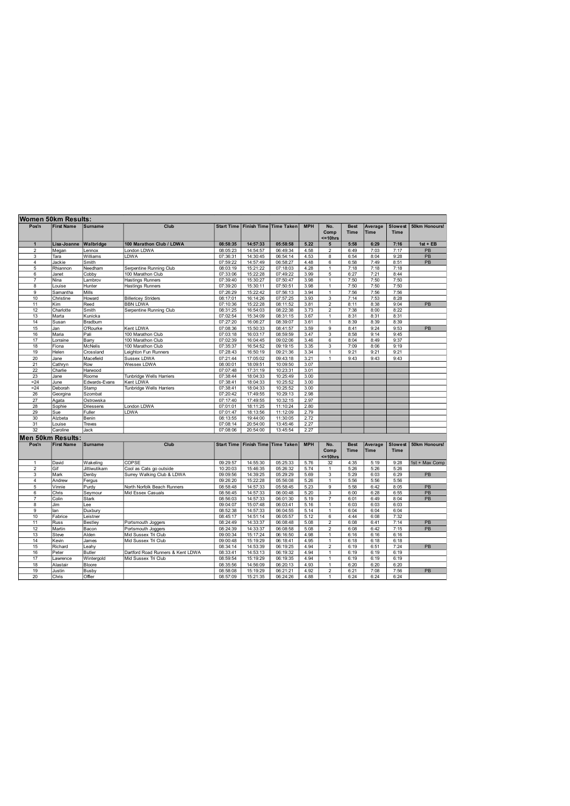|                         | Women 50km Results: |                |                                   |                   |                    |                        |            |                              |                            |                        |                               |                      |
|-------------------------|---------------------|----------------|-----------------------------------|-------------------|--------------------|------------------------|------------|------------------------------|----------------------------|------------------------|-------------------------------|----------------------|
| Pos'n                   | <b>First Name</b>   | <b>Surname</b> | Club                              | <b>Start Time</b> |                    | Finish Time Time Taken | <b>MPH</b> | No.<br>Comp<br>$= 10$ hrs    | <b>Best</b><br><b>Time</b> | Average<br><b>Time</b> | <b>Slowest</b><br><b>Time</b> | 50km Honours!        |
| $\mathbf{1}$            | Lisa-Joanne         | Walbridge      | 100 Marathon Club / LDWA          | 08:58:35          | 14:57:33           | 05:58:58               | 5.22       | 5                            | 5:58                       | 6:29                   | 7:16                          | $1st + EB$           |
| $\overline{2}$          | Megan               | Lennox         | London LDWA                       | 08:05:23          | 14:54:57           | 06:49:34               | 4.58       | $\overline{\mathbf{c}}$      | 6:49                       | 7:03                   | 7:17                          | PB                   |
| 3                       | Tara                | Williams       | LDWA                              | 07:36:31          | 14:30:45           | 06:54:14               | 4.53       | 8                            | 6:54                       | 8:04                   | 9:28                          | $\overline{PB}$      |
| $\overline{4}$          | Jackie              | Smith          |                                   | 07:59:22          | 14:57:49           | 06:58:27               | 4.48       | 6                            | 6:58                       | 7:49                   | 8:51                          | PB                   |
| 5                       | Rhiannon            | Needham        | Serpentine Running Club           | 08:03:19          | 15:21:22           | 07:18:03               | 4.28       | $\mathbf{1}$                 | 7:18                       | 7:18                   | 7:18                          |                      |
| 6                       | Janet               | Cobby          | 100 Marathon Club                 | 07:33:06          | 15:22:28           | 07:49:22               | 3.99       | 5                            | 6:27                       | 7:21                   | 8:44                          |                      |
| $\overline{7}$          | Nina                | Lambrov        | <b>Hastings Runners</b>           | 07:39:40          | 15:30:27           | 07:50:47               | 3.98       | $\mathbf{1}$                 | 7:50                       | 7:50                   | 7:50                          |                      |
| 8                       | Louise              | Hunter         | <b>Hastings Runners</b>           | 07:39:20          | 15:30:11           | 07:50:51               | 3.98       | $\overline{1}$               | 7:50                       | 7:50                   | 7:50                          |                      |
| 9                       | Samantha            | Mills          |                                   | 07:26:29          | 15:22:42           | 07:56:13               | 3.94       | $\mathbf{1}$                 | 7:56                       | 7:56                   | 7:56                          |                      |
| 10                      | Christine           | Howard         | <b>Billericey Striders</b>        | 08:17:01          | 16:14:26           | 07:57:25               | 3.93       | $\overline{\mathbf{3}}$      | 7:14                       | 7:53                   | 8:28                          |                      |
| 11                      | Kim                 | Reed           | <b>BBN LDWA</b>                   | 07:10:36          | 15:22:28           | 08:11:52               | 3.81       | $\overline{\mathbf{c}}$      | 8:11                       | 8:38                   | 9:04                          | PB                   |
| 12                      | Charlotte           | Smith          | Serpentine Running Club           | 08:31:25          | 16:54:03           | 08:22:38               | 3.73       | $\overline{2}$               | 7:38                       | 8:00                   | 8:22                          |                      |
| 13                      | Marta               | Kunicka        |                                   | 07:02:54          | 15:34:09           | 08:31:15               | 3.67       | $\mathbf{1}$                 | 8:31                       | 8:31                   | 8:31                          |                      |
| 14                      | Susan               | Bradburn       |                                   | 07:27:20          | 16:06:27           | 08:39:07               | 3.61       | $\mathbf{1}$                 | 8:39                       | 8:39                   | 8:39                          |                      |
| 15                      | Jan                 | O'Rourke       | Kent LDWA                         | 07:08:36          | 15:50:33           | 08:41:57               | 3.59       | 9                            | 8:41                       | 9:24                   | 9:53                          | PB                   |
| 16                      | Maria               | Pali           | 100 Marathon Club                 | 07:03:18          | 16:03:17           | 08:59:59               | 3.47       | 3                            | 8:58                       | 9:14                   | 9:45                          |                      |
| 17                      | Lorraine            | Barry          | 100 Marathon Club                 | 07:02:39          | 16:04:45           | 09:02:06               | 3.46       | 6                            | 8:04                       | 8:49                   | 9:37                          |                      |
| 18                      | Fiona               | <b>McNelis</b> | 100 Marathon Club                 | 07:35:37          | 16:54:52           | 09:19:15               | 3.35       | 3                            | 7:09                       | 8:06                   | 9:19                          |                      |
|                         |                     |                |                                   |                   |                    |                        |            |                              |                            |                        | 9:21                          |                      |
| 19                      | Helen               | Crossland      | Leighton Fun Runners              | 07:28:43          | 16:50:19           | 09:21:36               | 3.34       | $\mathbf{1}$<br>$\mathbf{1}$ | 9:21                       | 9:21                   |                               |                      |
| 20                      | Jane                | Macefield      | Sussex LDWA                       | 07:21:44          | 17:05:02           | 09:43:18               | 3.21       |                              | 9:43                       | 9:43                   | 9:43                          |                      |
| 21                      | Cathryn             | Row            | Wessex LDWA                       | 08:00:01          | 18:09:51           | 10:09:50               | 3.07       |                              |                            |                        |                               |                      |
| 22                      | Charlie             | Harwood        |                                   | 07:07:48          | 17:31:19           | 10:23:31               | 3.01       |                              |                            |                        |                               |                      |
| 23                      | Jane                | Roome          | Tunbridge Wells Harriers          | 07:38:44          | 18:04:33           | 10:25:49               | 3.00       |                              |                            |                        |                               |                      |
| $= 24$                  | June                | Edwards-Evans  | Kent LDWA                         | 07:38:41          | 18:04:33           | 10:25:52               | 3.00       |                              |                            |                        |                               |                      |
| $= 24$                  | Deborah             | Stamp          | Tunbridge Wells Harriers          | 07:38:41          | 18:04:33           | 10:25:52               | 3.00       |                              |                            |                        |                               |                      |
| 26                      | Georgina            | Szombat        |                                   | 07:20:42          | 17:49:55           | 10:29:13               | 2.98       |                              |                            |                        |                               |                      |
| 27                      | Agata               | Ostrowska      |                                   | 07:17:40          | 17:49:55           | 10:32:15               | 2.97       |                              |                            |                        |                               |                      |
| 28                      | Sophie              | Driessens      | London LDWA                       | 07:01:01          | 18:11:25           | 11:10:24               | 2.80       |                              |                            |                        |                               |                      |
| 29                      | Sue                 | Fuller         | <b>LDWA</b>                       | 07:01:47          | 18:13:56           | 11:12:09               | 2.79       |                              |                            |                        |                               |                      |
| 30                      | Alzbeta             | Benin          |                                   | 08:13:55          | 19:44:00           | 11:30:05               | 2.72       |                              |                            |                        |                               |                      |
| 31                      | Louise              | Treves         |                                   | 07:08:14          | 20:54:00           | 13:45:46               | 2.27       |                              |                            |                        |                               |                      |
| 32                      | Caroline            | Jack           |                                   | 07:08:06          | 20:54:00           | 13:45:54               | 2.27       |                              |                            |                        |                               |                      |
|                         | Men 50km Results:   |                |                                   |                   |                    |                        |            |                              |                            |                        |                               |                      |
| Pos'n                   | <b>First Name</b>   | <b>Surname</b> | Club                              | <b>Start Time</b> | <b>Finish Time</b> | <b>Time Taken</b>      | <b>MPH</b> | No.                          | <b>Best</b>                | Average                | <b>Slowest</b>                | <b>50km Honours!</b> |
|                         |                     |                |                                   |                   |                    |                        |            | Comp                         | <b>Time</b>                | Time                   | <b>Time</b>                   |                      |
|                         |                     |                |                                   |                   |                    |                        |            | $= 10$ hrs                   |                            |                        |                               |                      |
| $\mathbf{1}$            | David               | Wakeling       | COPSE                             | 09:29:57          | 14:55:30           | 05:25:33               | 5.76       | 32                           | 4:35                       | 5:19                   | 9:28                          | 1st + Max Comp       |
| $\overline{\mathbf{c}}$ | Gif                 | Jittiwutikam   | Cool as Cats go outside           | 10:20:03          | 15:46:35           | 05:26:32               | 5.74       | 1                            | 5:26                       | 5:26                   | 5:26                          |                      |
| 3                       | Mark                | Denby          | Surrey Walking Club & LDWA        | 09:09:56          | 14:39:25           | 05:29:29               | 5.69       | 3                            | 5:29                       | 6:03                   | 6:29                          | PB                   |
| $\overline{4}$          | Andrew              | Fergus         |                                   | 09:26:20          | 15:22:28           | 05:56:08               | 5.26       | $\mathbf{1}$                 | 5:56                       | 5:56                   | 5:56                          |                      |
| 5                       | Vinnie              | Purdy          | North Norfolk Beach Runners       | 08:58:48          | 14:57:33           | 05:58:45               | 5.23       | 9                            | 5:58                       | 6:42                   | 8:05                          | PB                   |
| 6                       | Chris               | Seymour        | Mid Essex Casuals                 | 08:56:45          | 14:57:33           | 06:00:48               | 5.20       | 3                            | 6:00                       | 6:28                   | 6:55                          | PB                   |
| $\overline{7}$          | Colin               | <b>Stark</b>   |                                   | 08:56:03          | 14:57:33           | 06:01:30               | 5.19       | $\overline{7}$               | 6:01                       | 6:49                   | 8:04                          | PB                   |
|                         | Jim                 |                |                                   |                   | 15:07:48           | 06:03:41               |            | $\mathbf{1}$                 |                            | 6:03                   | 6:03                          |                      |
| 8                       |                     | Lee            |                                   | 09:04:07          |                    |                        | 5.16       |                              | 6:03                       |                        |                               |                      |
| 9                       | lan                 | Duxbury        |                                   | 08:52:38          | 14:57:33           | 06:04:55               | 5.14       | $\mathbf{1}$                 | 6:04                       | 6:04                   | 6:04                          |                      |
| 10                      | Fabrice             | Leistner       |                                   | 08:45:17          | 14:51:14           | 06:05:57               | 5.12       | 6                            | 4:44                       | 6:08                   | 7:32                          |                      |
| 11                      | Russ                | Bestley        | Portsmouth Joggers                | 08:24:49          | 14:33:37           | 06:08:48               | 5.08       | $\overline{2}$               | 6:08                       | 6:41                   | 7:14                          | PB                   |
| 12                      | Martin              | Bacon          | Portsmouth Joggers                | 08:24:39          | 14:33:37           | 06:08:58               | 5.08       | $\overline{2}$               | 6:08                       | 6:42                   | 7:15                          | PB                   |
| 13                      | Steve               | Alden          | Mid Sussex Tri Club               | 09:00:34          | 15:17:24           | 06:16:50               | 4.98       | $\mathbf{1}$                 | 6:16                       | 6:16                   | 6:16                          |                      |
| 14                      | Kevin               | James          | Mid Sussex Tri Club               | 09:00:48          | 15:19:29           | 06:18:41               | 4.95       | $\mathbf{1}$                 | 6:18                       | 6:18                   | 6:18                          |                      |
| 15                      | Richard             | Leahv          |                                   | 08:34:14          | 14:53:39           | 06:19:25               | 4.94       | $\overline{2}$               | 6:19                       | 6:51                   | 7:24                          | PB                   |
| 16                      | Peter               | <b>Butler</b>  | Dartford Road Runners & Kent LDWA | 08:33:41          | 14:53:13           | 06:19:32               | 4.94       | 1                            | 6:19                       | 6:19                   | 6:19                          |                      |
| 17                      | Lawrence            | Wintergold     | Mid Sussex Tri Club               | 08:59:54          | 15:19:29           | 06:19:35               | 4.94       | $\mathbf{1}$                 | 6:19                       | 6:19                   | 6:19                          |                      |
| 18                      | Alastair            | <b>Bloore</b>  |                                   | 08:35:56          | 14:56:09           | 06:20:13               | 4.93       | $\overline{1}$               | 6:20                       | 6:20                   | 6:20                          |                      |
| 19                      | Justin              | Busby          |                                   | 08:58:08          | 15:19:29           | 06:21:21               | 4.92       | $\overline{2}$               | 6:21                       | 7:08                   | 7:56                          | PB                   |
| 20                      | Chris               | Offler         |                                   | 08:57:09          | 15:21:35           | 06:24:26               | 4.88       | 1                            | 6:24                       | 6:24                   | 6:24                          |                      |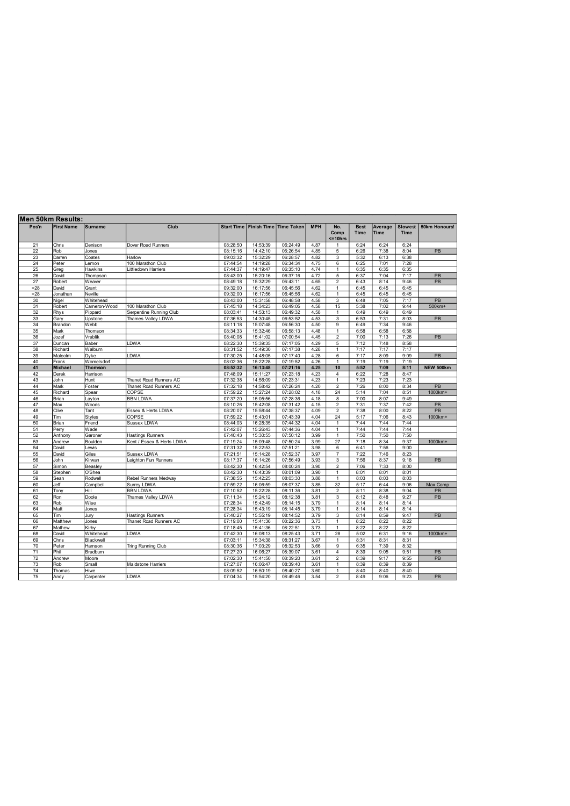| Pos'n           | <b>First Name</b> | <b>Surname</b> | Club                      |          | Start Time   Finish Time   Time Taken |          | <b>MPH</b> | No.<br>Comp<br>$=10$ hrs | <b>Best</b><br><b>Time</b> | Average<br>Time | <b>Slowest</b><br><b>Time</b> | 50km Honours!   |
|-----------------|-------------------|----------------|---------------------------|----------|---------------------------------------|----------|------------|--------------------------|----------------------------|-----------------|-------------------------------|-----------------|
|                 |                   |                |                           |          |                                       |          |            |                          |                            |                 |                               |                 |
| 21              | Chris             | Denison        | Dover Road Runners        | 08:28:50 | 14:53:39                              | 06:24:49 | 4.87       | $\mathbf{1}$             | 6:24                       | 6:24            | 6:24                          |                 |
| 22              | Rob               | Jones          |                           | 08:15:16 | 14:42:10                              | 06:26:54 | 4.85       | 5                        | 6:26                       | 7:38            | 8:04                          | PB              |
| 23              | Darren            | Coates         | Harlow                    | 09:03:32 | 15:32:29                              | 06:28:57 | 4.82       | 3                        | 5:32                       | 6:13            | 6:38                          |                 |
| 24              | Peter             | Lemon          | 100 Marathon Club         | 07:44:54 | 14:19:28                              | 06:34:34 | 4.75       | 6                        | 6:25                       | 7:01            | 7:28                          |                 |
| 25              | Greg              | Hawkins        | ittledown Harriers        | 07:44:37 | 14:19:47                              | 06:35:10 | 4.74       | $\overline{1}$           | 6:35                       | 6:35            | 6:35                          |                 |
| 26              | David             | Thompson       |                           | 08:43:00 | 15:20:16                              | 06:37:16 | 4.72       | 5                        | 6:37                       | 7:04            | 7:17                          | PB              |
| $\overline{27}$ | Robert            | Weaver         |                           | 08:49:18 | 15:32:29                              | 06:43:11 | 4.65       | $\overline{2}$           | 6:43                       | 8:14            | 9:46                          | $\overline{PB}$ |
| $= 28$          | David             | Grant          |                           | 09:32:00 | 16:17:56                              | 06:45:56 | 4.62       | $\mathbf{1}$             | 6:45                       | 6:45            | 6:45                          |                 |
| $= 28$          | Jonathan          | Neville        |                           | 09:32:00 | 16:17:56                              | 06:45:56 | 4.62       | $\mathbf{1}$             | 6:45                       | 6:45            | 6:45                          |                 |
| 30              | Nigel             | Whitehead      |                           | 08:43:00 | 15:31:58                              | 06:48:58 | 4.58       | 3                        | 6:48                       | 7:05            | 7:17                          | PB              |
| 31              | Robert            | Cameron-Wood   | 100 Marathon Club         | 07:45:18 | 14:34:23                              | 06:49:05 | 4.58       | 15                       | 5:38                       | 7:02            | 9:44                          | 500km+          |
| 32              | Rhys              | Pippard        | Serpentine Running Club   | 08:03:41 | 14:53:13                              | 06:49:32 | 4.58       | $\overline{1}$           | 6:49                       | 6:49            | 6:49                          |                 |
| 33              | Gary              | Upstone        | Thames Valley LDWA        | 07:36:53 | 14:30:45                              | 06:53:52 | 4.53       | $\overline{3}$           | 6:53                       | 7:31            | 8:03                          | PB              |
| 34              | Brandon           | Webb           |                           | 08:11:18 | 15:07:48                              | 06:56:30 | 4.50       | $\overline{9}$           | 6:49                       | 7:34            | 9:46                          |                 |
| 35              | Mark              | Thomson        |                           | 08:34:33 | 15:32:46                              | 06:58:13 | 4.48       | 1                        | 6:58                       | 6:58            | 6:58                          |                 |
| 36              | Jozef             | Vrablik        |                           | 08:40:08 | 15:41:02                              | 07:00:54 | 4.45       | $\overline{\mathbf{c}}$  | 7:00                       | 7:13            | 7:26                          | PB              |
| 37              | Duncan            | Baber          | <b>DWA</b>                | 08:22:30 | 15:39:35                              | 07:17:05 | 4.29       | 5                        | 7:12                       | 7:48            | 8:58                          |                 |
| 38              | Richard           | Walburn        |                           | 08:31:52 | 15:49:30                              | 07:17:38 | 4.28       | $\overline{1}$           | 7:17                       | 7:17            | 7:17                          |                 |
| 39              | Malcolm           | Dvke           | LDWA                      | 07:30:25 | 14:48:05                              | 07:17:40 | 4.28       | 6                        | 7:17                       | 8:09            | 9:09                          | PB              |
| 40              | Frank             | Womelsdorf     |                           | 08:02:36 | 15:22:28                              | 07:19:52 | 4.26       | $\overline{1}$           | 7:19                       | 7:19            | 7:19                          |                 |
| 41              | Michael           | Thomson        |                           | 08:52:32 | 16:13:48                              | 07:21:16 | 4.25       | 10                       | 5:52                       | 7:09            | 8:11                          | NEW 500km       |
| 42              | Derek             | Harrison       |                           | 07:48:09 | 15:11:27                              | 07:23:18 | 4.23       | $\overline{4}$           | 6:22                       | 7:28            | 8:47                          |                 |
| 43              | John              | Hunt           | Thanet Road Runners AC    | 07:32:38 | 14:56:09                              | 07:23:31 | 4.23       | $\mathbf{1}$             | 7:23                       | 7:23            | 7:23                          |                 |
| 44              | Mark              | Foster         | Thanet Road Runners AC    | 07:32:18 | 14:58:42                              | 07:26:24 | 4.20       | $\overline{2}$           | 7:26                       | 8:00            | 8:34                          | $\overline{PB}$ |
| 45              | Richard           | Spear          | COPSE                     | 07:59:22 | 15:27:24                              | 07:28:02 | 4.18       | 24                       | 5:14                       | 7:04            | 8:51                          | 1000km+         |
| 46              | Brian             | Layton         | <b>BBN LDWA</b>           | 07:37:20 | 15:05:56                              | 07:28:36 | 4.18       | 8                        | 7:00                       | 8:07            | 9:49                          |                 |
| 47              | Max               | Woods          |                           | 08:10:26 | 15:42:08                              | 07:31:42 | 4.15       | $\overline{c}$           | 7:31                       | 7:37            | 7:42                          | PB              |
| 48              | Clive             | Tant           | Essex & Herts LDWA        | 08:20:07 | 15:58:44                              | 07:38:37 | 4.09       | $\overline{c}$           | 7:38                       | 8:00            | 8:22                          | PB              |
| 49              | Tim               | <b>Styles</b>  | COPSE                     | 07:59:22 | 15:43:01                              | 07:43:39 | 4.04       | 24                       | 5:17                       | 7:06            | 8:43                          | 1000km+         |
| 50              | Brian             | Friend         | <b>Sussex LDWA</b>        | 08:44:03 | 16:28:35                              | 07:44:32 | 4.04       | 1                        | 7:44                       | 7:44            | 7:44                          |                 |
| 51              | Perry             | Wade           |                           | 07:42:07 | 15:26:43                              | 07:44:36 | 4.04       | 1                        | 7:44                       | 7:44            | 7:44                          |                 |
| 52              | Anthony           | Garoner        | <b>Hastings Runners</b>   | 07:40:43 | 15:30:55                              | 07:50:12 | 3.99       | 1                        | 7:50                       | 7:50            | 7:50                          |                 |
| 53              | Andrew            | Boulden        | Kent / Essex & Herts LDWA | 07:19:24 | 15:09:48                              | 07:50:24 | 3.99       | 27                       | 7:18                       | 8:34            | 9:37                          | 1000km+         |
| 54              | David             | Lewis          |                           | 07:31:32 | 15:22:53                              | 07:51:21 | 3.98       | 6                        | 6:41                       | 7:56            | 9:00                          |                 |
| 55              | David             | Giles          | Sussex LDWA               | 07:21:51 | 15:14:28                              | 07:52:37 | 3.97       | $\overline{7}$           | 7:22                       | 7:46            | 8:23                          |                 |
| 56              | John              | Kirwan         | eighton Fun Runners       | 08:17:37 | 16:14:26                              | 07:56:49 | 3.93       | 3                        | 7:56                       | 8:37            | 9:18                          | PB              |
| 57              | Simon             | Beasley        |                           | 08:42:30 | 16:42:54                              | 08:00:24 | 3.90       | $\overline{2}$           | 7:06                       | 7:33            | 8:00                          |                 |
| 58              | Stephen           | O'Shea         |                           | 08:42:30 | 16:43:39                              | 08:01:09 | 3.90       | 1                        | 8:01                       | 8:01            | 8:01                          |                 |
| 59              | Sean              | Rodwell        | Rebel Runners Medway      | 07:38:55 | 15:42:25                              | 08:03:30 | 3.88       | 1                        | 8:03                       | 8:03            | 8:03                          |                 |
| 60              | Jeff              | Campbell       | Surrey LDWA               | 07:59:22 | 16:06:59                              | 08:07:37 | 3.85       | 32                       | 5:17                       | 6:44            | 9:06                          | Max Comp        |
| 61              | Tony              | Hill           | <b>BBN LDWA</b>           | 07:10:52 | 15:22:28                              | 08:11:36 | 3.81       | $\overline{2}$           | 8:11                       | 8:38            | 9:04                          | PB              |
| 62              | Ron               | Doole          | Thames Valley LDWA        | 07:11:34 | 15:24:12                              | 08:12:38 | 3.81       | 3                        | 8:12                       | 8:48            | 9:27                          | PB              |
| 63              | Rob               | Wise           |                           | 07:28:34 | 15:42:49                              | 08:14:15 | 3.79       | $\mathbf{1}$             | 8:14                       | 8:14            | 8:14                          |                 |
| 64              | Matt              | Jones          |                           | 07:28:34 | 15:43:19                              | 08:14:45 | 3.79       | $\mathbf{1}$             | 8:14                       | 8:14            | 8:14                          |                 |
| 65              | Tim               | Jury           | <b>Hastings Runners</b>   | 07:40:27 | 15:55:19                              | 08:14:52 | 3.79       | 3                        | 8:14                       | 8:59            | 9:47                          | PB              |
| 66              | Matthew           | Jones          | Thanet Road Runners AC    | 07:19:00 | 15:41:36                              | 08:22:36 | 3.73       | $\mathbf{1}$             | 8:22                       | 8:22            | 8:22                          |                 |
| 67              | Mathew            | Kirby          |                           | 07:18:45 | 15:41:36                              | 08:22:51 | 3.73       | $\mathbf{1}$             | 8:22                       | 8:22            | 8:22                          |                 |
| 68              | David             | Whitehead      | LDWA                      | 07:42:30 | 16:08:13                              | 08:25:43 | 3.71       | 28                       | 5:02                       | 6:31            | 9:16                          | 1000km+         |
| 69              | Chris             | Blackwell      |                           | 07:03:11 | 15:34:38                              | 08:31:27 | 3.67       | $\mathbf{1}$             | 8:31                       | 8:31            | 8:31                          |                 |
|                 |                   |                |                           |          |                                       |          |            |                          |                            |                 |                               |                 |
| 70              | Peter             | Hamson         | <b>Tring Running Club</b> | 08:30:36 | 17:03:29                              | 08:32:53 | 3.66       | 9                        | 6:35                       | 7:39            | 8:32                          |                 |
| 71              | Phil              | Bradburn       |                           | 07:27:20 | 16:06:27                              | 08:39:07 | 3.61       | 4                        | 8:39                       | 9:05            | 9:51                          | PB              |
| 72              | Andrew            | Moore          |                           | 07:02:30 | 15:41:50                              | 08:39:20 | 3.61       | $\overline{2}$           | 8:39                       | 9:17            | 9:55                          | PB              |
| 73              | Rob               | Small          | Maidstone Harriers        | 07:27:07 | 16:06:47                              | 08:39:40 | 3.61       | $\mathbf{1}$             | 8:39                       | 8:39            | 8:39                          |                 |
| 74              | Thomas            | Hiwe           |                           | 08:09:52 | 16:50:19                              | 08:40:27 | 3.60       | $\mathbf{1}$             | 8:40                       | 8:40            | 8:40                          |                 |
| 75              | Andy              | Carpenter      | LDWA                      | 07:04:34 | 15:54:20                              | 08:49:46 | 3.54       | $\overline{2}$           | 8:49                       | 9:06            | 9:23                          | <b>PB</b>       |